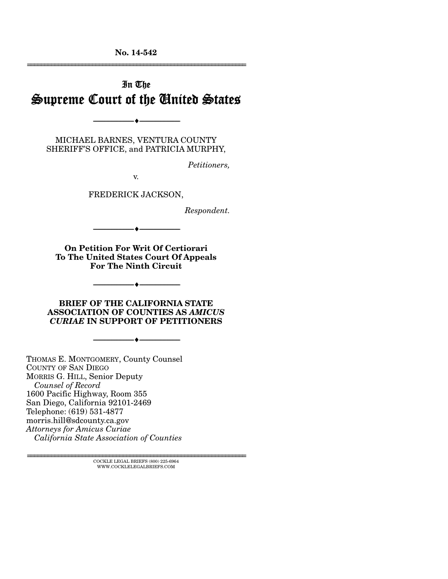**No. 14-542**  ================================================================

# In The Supreme Court of the United States

MICHAEL BARNES, VENTURA COUNTY SHERIFF'S OFFICE, and PATRICIA MURPHY,

--------------------------------- ---------------------------------

*Petitioners,* 

v.

FREDERICK JACKSON,

*Respondent.* 

**On Petition For Writ Of Certiorari To The United States Court Of Appeals For The Ninth Circuit** 

--------------------------------- ---------------------------------

--------------------------------- ---------------------------------

**BRIEF OF THE CALIFORNIA STATE ASSOCIATION OF COUNTIES AS** *AMICUS CURIAE* **IN SUPPORT OF PETITIONERS** 

--------------------------------- ---------------------------------

THOMAS E. MONTGOMERY, County Counsel COUNTY OF SAN DIEGO MORRIS G. HILL, Senior Deputy *Counsel of Record* 1600 Pacific Highway, Room 355 San Diego, California 92101-2469 Telephone: (619) 531-4877 morris.hill@sdcounty.ca.gov *Attorneys for Amicus Curiae California State Association of Counties* 

> $\textsc{COCKLE}$  LEGAL BRIEFS (800) 225-6964 WWW.COCKLELEGALBRIEFS.COM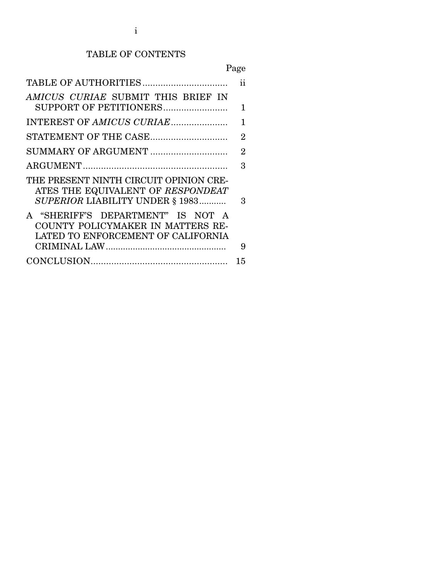# TABLE OF CONTENTS

Page

|                                        | ii             |
|----------------------------------------|----------------|
| AMICUS CURIAE SUBMIT THIS BRIEF IN     |                |
| SUPPORT OF PETITIONERS                 | 1              |
| INTEREST OF AMICUS CURIAE              | 1              |
| STATEMENT OF THE CASE                  | $\overline{2}$ |
| SUMMARY OF ARGUMENT                    | $\overline{2}$ |
|                                        | 3              |
| THE PRESENT NINTH CIRCUIT OPINION CRE- |                |
| ATES THE EQUIVALENT OF RESPONDEAT      |                |
| SUPERIOR LIABILITY UNDER § 1983        | 3              |
| A "SHERIFF'S DEPARTMENT" IS NOT A      |                |
| COUNTY POLICYMAKER IN MATTERS RE-      |                |
| LATED TO ENFORCEMENT OF CALIFORNIA     |                |
|                                        | 9              |
|                                        | 15             |
|                                        |                |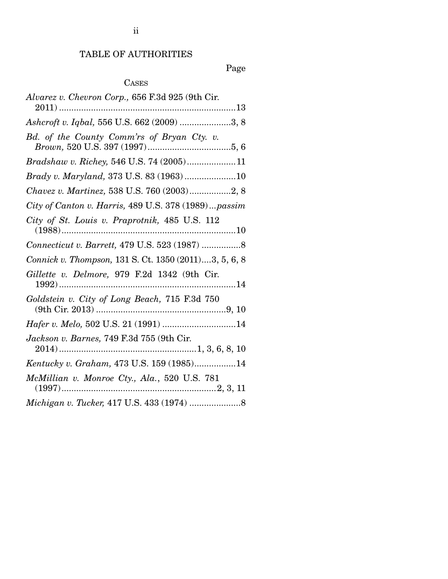## TABLE OF AUTHORITIES

## Page

## CASES

| Alvarez v. Chevron Corp., 656 F.3d 925 (9th Cir.      |
|-------------------------------------------------------|
|                                                       |
| Ashcroft v. Iqbal, 556 U.S. 662 (2009) 3, 8           |
| Bd. of the County Comm'rs of Bryan Cty. v.            |
| Bradshaw v. Richey, 546 U.S. 74 (2005)11              |
| Brady v. Maryland, 373 U.S. 83 (1963) 10              |
| Chavez v. Martinez, 538 U.S. 760 (2003)2, 8           |
| City of Canton v. Harris, 489 U.S. 378 (1989)passim   |
| City of St. Louis v. Praprotnik, 485 U.S. 112         |
| Connecticut v. Barrett, 479 U.S. 523 (1987)  8        |
| Connick v. Thompson, 131 S. Ct. 1350 (2011)3, 5, 6, 8 |
| Gillette v. Delmore, 979 F.2d 1342 (9th Cir.          |
| Goldstein v. City of Long Beach, 715 F.3d 750         |
| Hafer v. Melo, 502 U.S. 21 (1991) 14                  |
| Jackson v. Barnes, 749 F.3d 755 (9th Cir.             |
| Kentucky v. Graham, 473 U.S. 159 (1985)14             |
| McMillian v. Monroe Cty., Ala., 520 U.S. 781          |
|                                                       |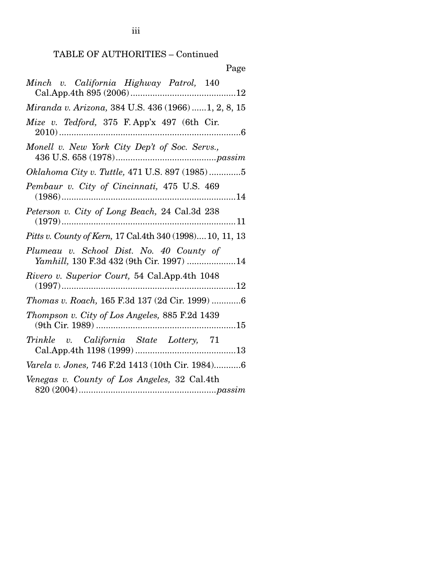| Page                                                                                                    |
|---------------------------------------------------------------------------------------------------------|
| Minch v. California Highway Patrol, 140                                                                 |
| Miranda v. Arizona, 384 U.S. 436 (1966) 1, 2, 8, 15                                                     |
| Mize v. Tedford, 375 F. App'x 497 (6th Cir.                                                             |
| Monell v. New York City Dep't of Soc. Servs.,<br>${\bf 436 \; U.S.} \; {\bf 658} \; ({\bf 1978})passim$ |
| Oklahoma City v. Tuttle, 471 U.S. 897 (1985)5                                                           |
| Pembaur v. City of Cincinnati, 475 U.S. 469                                                             |
| Peterson v. City of Long Beach, 24 Cal.3d 238                                                           |
| <i>Pitts v. County of Kern, 17 Cal.4th 340 (1998)10, 11, 13</i>                                         |
| Plumeau v. School Dist. No. 40 County of<br>Yamhill, 130 F.3d 432 (9th Cir. 1997) 14                    |
| Rivero v. Superior Court, 54 Cal.App.4th 1048                                                           |
| Thomas v. Roach, 165 F.3d 137 (2d Cir. 1999) 6                                                          |
| Thompson v. City of Los Angeles, 885 F.2d 1439                                                          |
| Trinkle v. California State Lottery, 71                                                                 |
| Varela v. Jones, 746 F.2d 1413 (10th Cir. 1984)6                                                        |
| Venegas v. County of Los Angeles, 32 Cal.4th                                                            |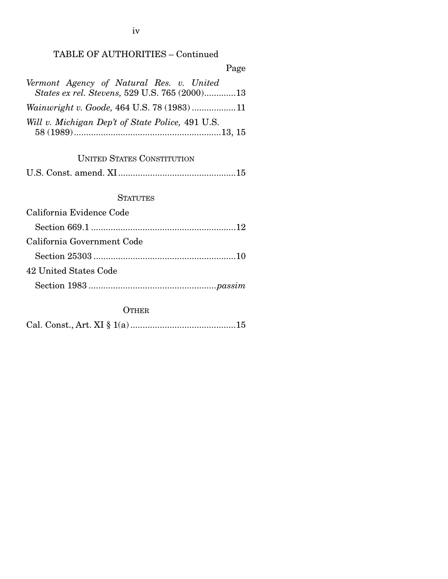TABLE OF AUTHORITIES – Continued

Page *Vermont Agency of Natural Res. v. United States ex rel. Stevens,* 529 U.S. 765 (2000) ............. 13 *Wainwright v. Goode,* 464 U.S. 78 (1983) .................. 11 *Will v. Michigan Dep't of State Police,* 491 U.S. 58 (1989) ............................................................ 13, 15

## UNITED STATES CONSTITUTION

U.S. Const. amend. XI ................................................ 15

#### **STATUTES**

| California Evidence Code   |
|----------------------------|
|                            |
| California Government Code |
|                            |
| 42 United States Code      |
|                            |

#### **OTHER**

|--|--|--|--|--|--|--|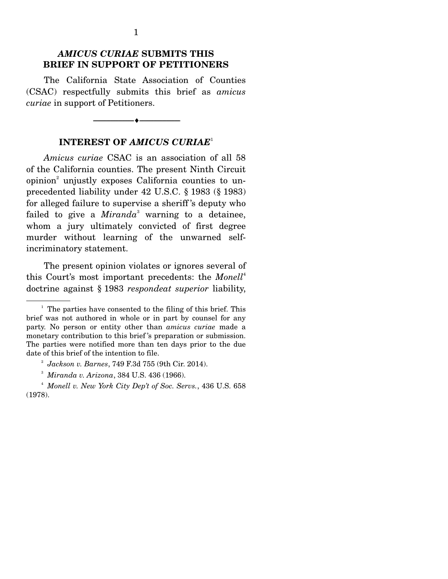## *AMICUS CURIAE* **SUBMITS THIS BRIEF IN SUPPORT OF PETITIONERS**

 The California State Association of Counties (CSAC) respectfully submits this brief as *amicus curiae* in support of Petitioners.

### **INTEREST OF** *AMICUS CURIAE*<sup>1</sup>

--------------------------------- ---------------------------------

*Amicus curiae* CSAC is an association of all 58 of the California counties. The present Ninth Circuit opinion<sup>2</sup> unjustly exposes California counties to unprecedented liability under 42 U.S.C. § 1983 (§ 1983) for alleged failure to supervise a sheriff 's deputy who failed to give a *Miranda*<sup>3</sup> warning to a detainee, whom a jury ultimately convicted of first degree murder without learning of the unwarned selfincriminatory statement.

 The present opinion violates or ignores several of this Court's most important precedents: the *Monell*<sup>4</sup> doctrine against § 1983 *respondeat superior* liability,

<sup>&</sup>lt;sup>1</sup> The parties have consented to the filing of this brief. This brief was not authored in whole or in part by counsel for any party. No person or entity other than *amicus curiae* made a monetary contribution to this brief 's preparation or submission. The parties were notified more than ten days prior to the due date of this brief of the intention to file.

<sup>2</sup> *Jackson v. Barnes*, 749 F.3d 755 (9th Cir. 2014).

<sup>3</sup> *Miranda v. Arizona*, 384 U.S. 436 (1966).

<sup>4</sup> *Monell v. New York City Dep't of Soc. Servs.*, 436 U.S. 658 (1978).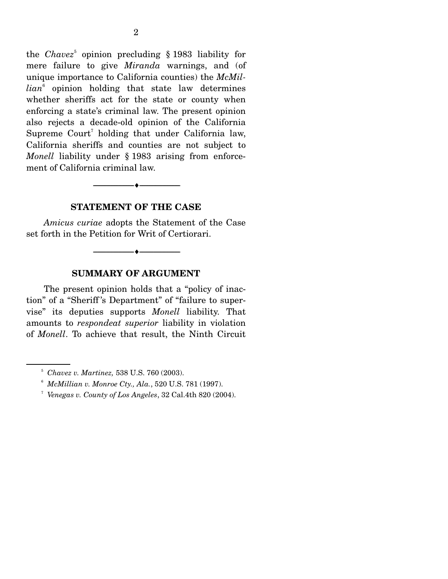the *Chavez*<sup>5</sup> opinion precluding § 1983 liability for mere failure to give *Miranda* warnings, and (of unique importance to California counties) the *McMillian*<sup>6</sup> opinion holding that state law determines whether sheriffs act for the state or county when enforcing a state's criminal law. The present opinion also rejects a decade-old opinion of the California Supreme  $\text{Count}^7$  holding that under California law, California sheriffs and counties are not subject to *Monell* liability under § 1983 arising from enforcement of California criminal law.

--------------------------------- ---------------------------------

#### **STATEMENT OF THE CASE**

*Amicus curiae* adopts the Statement of the Case set forth in the Petition for Writ of Certiorari.

--------------------------------- ---------------------------------

#### **SUMMARY OF ARGUMENT**

 The present opinion holds that a "policy of inaction" of a "Sheriff 's Department" of "failure to supervise" its deputies supports *Monell* liability. That amounts to *respondeat superior* liability in violation of *Monell*. To achieve that result, the Ninth Circuit

<sup>5</sup> *Chavez v. Martinez,* 538 U.S. 760 (2003).

<sup>&</sup>lt;sup>6</sup> *McMillian v. Monroe Cty., Ala.*, 520 U.S. 781 (1997).

*Venegas v. County of Los Angeles*, 32 Cal.4th 820 (2004).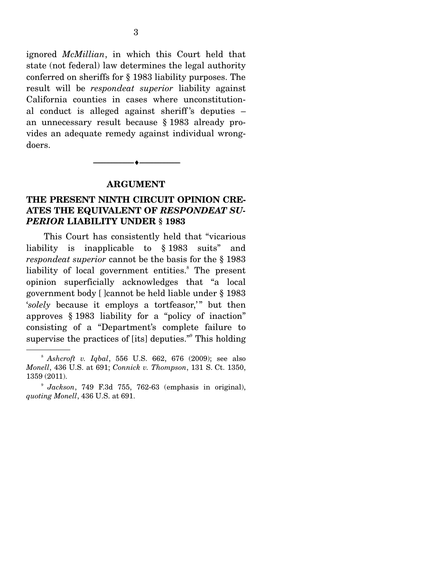ignored *McMillian*, in which this Court held that state (not federal) law determines the legal authority conferred on sheriffs for § 1983 liability purposes. The result will be *respondeat superior* liability against California counties in cases where unconstitutional conduct is alleged against sheriff 's deputies – an unnecessary result because § 1983 already provides an adequate remedy against individual wrongdoers.

--------------------------------- ---------------------------------

### **ARGUMENT**

## **THE PRESENT NINTH CIRCUIT OPINION CRE-ATES THE EQUIVALENT OF** *RESPONDEAT SU-PERIOR* **LIABILITY UNDER § 1983**

 This Court has consistently held that "vicarious liability is inapplicable to § 1983 suits" and *respondeat superior* cannot be the basis for the § 1983 liability of local government entities.<sup>8</sup> The present opinion superficially acknowledges that "a local government body [ ]cannot be held liable under § 1983 '*solely* because it employs a tortfeasor,'" but then approves § 1983 liability for a "policy of inaction" consisting of a "Department's complete failure to supervise the practices of [its] deputies." This holding

<sup>8</sup> *Ashcroft v. Iqbal*, 556 U.S. 662, 676 (2009); see also *Monell*, 436 U.S. at 691; *Connick v. Thompson*, 131 S. Ct. 1350, 1359 (2011).

<sup>9</sup> *Jackson*, 749 F.3d 755, 762-63 (emphasis in original), *quoting Monell*, 436 U.S. at 691.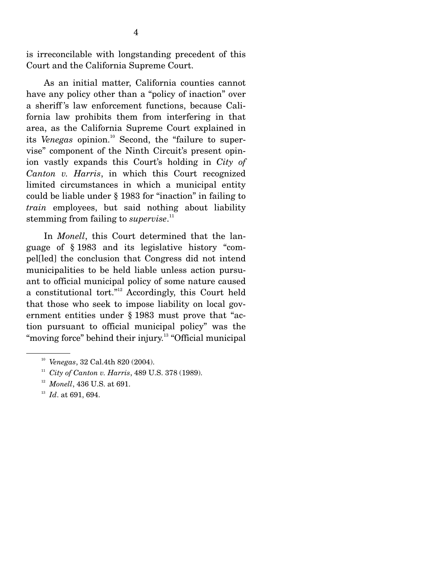is irreconcilable with longstanding precedent of this Court and the California Supreme Court.

 As an initial matter, California counties cannot have any policy other than a "policy of inaction" over a sheriff 's law enforcement functions, because California law prohibits them from interfering in that area, as the California Supreme Court explained in its *Venegas* opinion.<sup>10</sup> Second, the "failure to supervise" component of the Ninth Circuit's present opinion vastly expands this Court's holding in *City of Canton v. Harris*, in which this Court recognized limited circumstances in which a municipal entity could be liable under § 1983 for "inaction" in failing to *train* employees, but said nothing about liability stemming from failing to *supervise*. 11

 In *Monell*, this Court determined that the language of § 1983 and its legislative history "compel[led] the conclusion that Congress did not intend municipalities to be held liable unless action pursuant to official municipal policy of some nature caused a constitutional tort."12 Accordingly, this Court held that those who seek to impose liability on local government entities under § 1983 must prove that "action pursuant to official municipal policy" was the "moving force" behind their injury.<sup>13</sup> "Official municipal

<sup>10</sup> *Venegas*, 32 Cal.4th 820 (2004).

<sup>11</sup> *City of Canton v. Harris*, 489 U.S. 378 (1989).

<sup>&</sup>lt;sup>12</sup> *Monell*, 436 U.S. at 691.<br><sup>13</sup> *Id.* at 691, 694.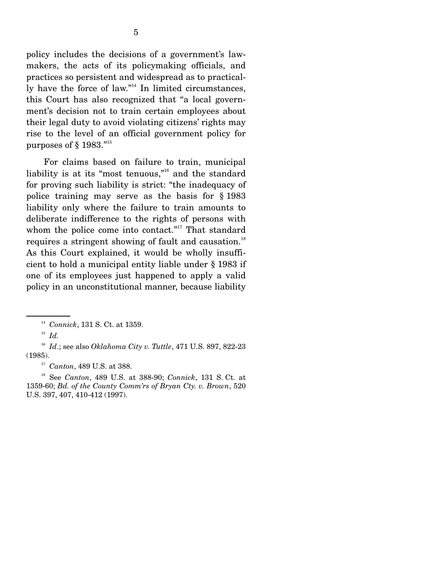policy includes the decisions of a government's lawmakers, the acts of its policymaking officials, and practices so persistent and widespread as to practically have the force of law."<sup>14</sup> In limited circumstances, this Court has also recognized that "a local government's decision not to train certain employees about their legal duty to avoid violating citizens' rights may rise to the level of an official government policy for purposes of  $\S$  1983."<sup>15</sup>

 For claims based on failure to train, municipal liability is at its "most tenuous,"16 and the standard for proving such liability is strict: "the inadequacy of police training may serve as the basis for § 1983 liability only where the failure to train amounts to deliberate indifference to the rights of persons with whom the police come into contact."<sup>17</sup> That standard requires a stringent showing of fault and causation.<sup>18</sup> As this Court explained, it would be wholly insufficient to hold a municipal entity liable under § 1983 if one of its employees just happened to apply a valid policy in an unconstitutional manner, because liability

<sup>16</sup> *Id*.; see also *Oklahoma City v. Tuttle*, 471 U.S. 897, 822-23 (1985). 17 *Canton*, 489 U.S. at 388.

18 See *Canton*, 489 U.S. at 388-90; *Connick*, 131 S. Ct. at 1359-60; *Bd. of the County Comm'rs of Bryan Cty. v. Brown*, 520 U.S. 397, 407, 410-412 (1997).

<sup>14</sup> *Connick*, 131 S. Ct. at 1359.

<sup>15</sup> *Id.*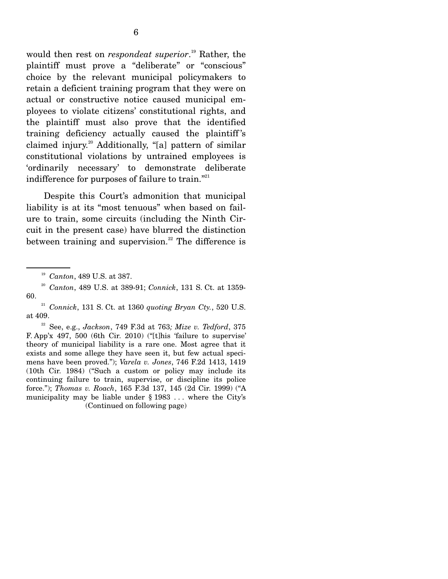would then rest on *respondeat superior*. 19 Rather, the plaintiff must prove a "deliberate" or "conscious" choice by the relevant municipal policymakers to retain a deficient training program that they were on actual or constructive notice caused municipal employees to violate citizens' constitutional rights, and the plaintiff must also prove that the identified training deficiency actually caused the plaintiff 's claimed injury.<sup>20</sup> Additionally, "[a] pattern of similar constitutional violations by untrained employees is 'ordinarily necessary' to demonstrate deliberate indifference for purposes of failure to train. $"$ <sup>21</sup>

 Despite this Court's admonition that municipal liability is at its "most tenuous" when based on failure to train, some circuits (including the Ninth Circuit in the present case) have blurred the distinction between training and supervision.<sup>22</sup> The difference is

<sup>19</sup> *Canton*, 489 U.S. at 387.

<sup>20</sup> *Canton*, 489 U.S. at 389-91; *Connick*, 131 S. Ct. at 1359- 60.

<sup>21</sup> *Connick*, 131 S. Ct. at 1360 *quoting Bryan Cty.*, 520 U.S. at 409.

<sup>22</sup> See, e.g., *Jackson*, 749 F.3d at 763*; Mize v. Tedford*, 375 F. App'x 497, 500 (6th Cir. 2010) ("[t]his 'failure to supervise' theory of municipal liability is a rare one. Most agree that it exists and some allege they have seen it, but few actual specimens have been proved."); *Varela v. Jones*, 746 F.2d 1413, 1419 (10th Cir. 1984) ("Such a custom or policy may include its continuing failure to train, supervise, or discipline its police force."); *Thomas v. Roach*, 165 F.3d 137, 145 (2d Cir. 1999) ("A municipality may be liable under § 1983 . . . where the City's (Continued on following page)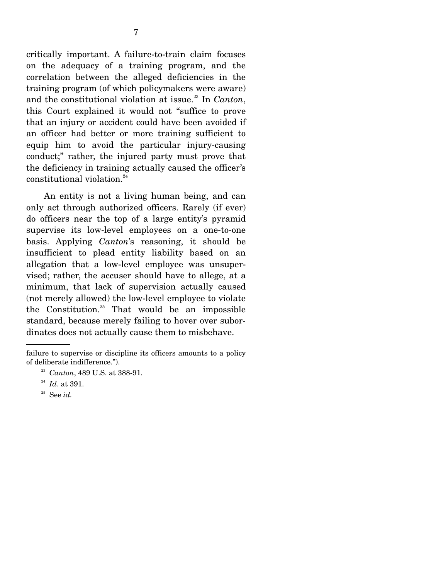critically important. A failure-to-train claim focuses on the adequacy of a training program, and the correlation between the alleged deficiencies in the training program (of which policymakers were aware) and the constitutional violation at issue.<sup>23</sup> In *Canton*, this Court explained it would not "suffice to prove that an injury or accident could have been avoided if an officer had better or more training sufficient to equip him to avoid the particular injury-causing conduct;" rather, the injured party must prove that the deficiency in training actually caused the officer's constitutional violation.<sup>24</sup>

 An entity is not a living human being, and can only act through authorized officers. Rarely (if ever) do officers near the top of a large entity's pyramid supervise its low-level employees on a one-to-one basis. Applying *Canton*'s reasoning, it should be insufficient to plead entity liability based on an allegation that a low-level employee was unsupervised; rather, the accuser should have to allege, at a minimum, that lack of supervision actually caused (not merely allowed) the low-level employee to violate the Constitution. $25$  That would be an impossible standard, because merely failing to hover over subordinates does not actually cause them to misbehave.

failure to supervise or discipline its officers amounts to a policy of deliberate indifference."). 23 *Canton*, 489 U.S. at 388-91.

<sup>&</sup>lt;sup>24</sup> *Id.* at 391.<br><sup>25</sup> See *id.*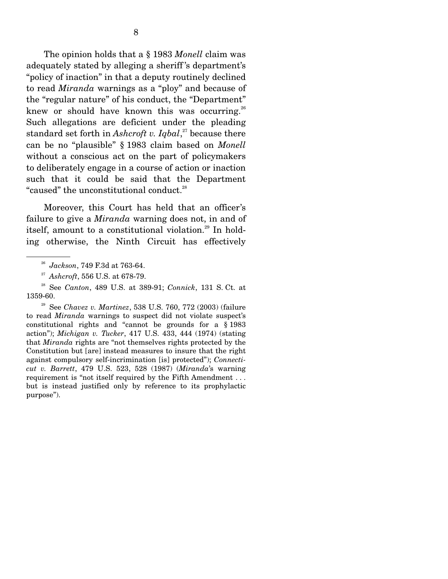The opinion holds that a § 1983 *Monell* claim was adequately stated by alleging a sheriff 's department's "policy of inaction" in that a deputy routinely declined to read *Miranda* warnings as a "ploy" and because of the "regular nature" of his conduct, the "Department" knew or should have known this was occurring.<sup>26</sup> Such allegations are deficient under the pleading standard set forth in *Ashcroft v. Iqbal*, 27 because there can be no "plausible" § 1983 claim based on *Monell* without a conscious act on the part of policymakers to deliberately engage in a course of action or inaction such that it could be said that the Department "caused" the unconstitutional conduct.<sup>28</sup>

 Moreover, this Court has held that an officer's failure to give a *Miranda* warning does not, in and of itself, amount to a constitutional violation.<sup>29</sup> In holding otherwise, the Ninth Circuit has effectively

<sup>26</sup> *Jackson*, 749 F.3d at 763-64.

<sup>27</sup> *Ashcroft*, 556 U.S. at 678-79.

<sup>28</sup> See *Canton*, 489 U.S. at 389-91; *Connick*, 131 S. Ct. at 1359-60.

<sup>29</sup> See *Chavez v. Martinez*, 538 U.S. 760, 772 (2003) (failure to read *Miranda* warnings to suspect did not violate suspect's constitutional rights and "cannot be grounds for a § 1983 action"); *Michigan v. Tucker*, 417 U.S. 433, 444 (1974) (stating that *Miranda* rights are "not themselves rights protected by the Constitution but [are] instead measures to insure that the right against compulsory self-incrimination [is] protected"); *Connecticut v. Barrett*, 479 U.S. 523, 528 (1987) (*Miranda*'s warning requirement is "not itself required by the Fifth Amendment . . . but is instead justified only by reference to its prophylactic purpose").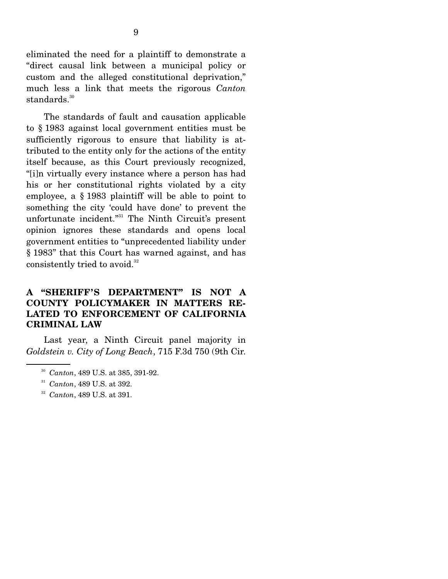eliminated the need for a plaintiff to demonstrate a "direct causal link between a municipal policy or custom and the alleged constitutional deprivation," much less a link that meets the rigorous *Canton* standards.<sup>30</sup>

 The standards of fault and causation applicable to § 1983 against local government entities must be sufficiently rigorous to ensure that liability is attributed to the entity only for the actions of the entity itself because, as this Court previously recognized, "[i]n virtually every instance where a person has had his or her constitutional rights violated by a city employee, a § 1983 plaintiff will be able to point to something the city 'could have done' to prevent the unfortunate incident."<sup>31</sup> The Ninth Circuit's present opinion ignores these standards and opens local government entities to "unprecedented liability under § 1983" that this Court has warned against, and has consistently tried to avoid.<sup>32</sup>

## **A "SHERIFF'S DEPARTMENT" IS NOT A COUNTY POLICYMAKER IN MATTERS RE-LATED TO ENFORCEMENT OF CALIFORNIA CRIMINAL LAW**

 Last year, a Ninth Circuit panel majority in *Goldstein v. City of Long Beach*, 715 F.3d 750 (9th Cir.

- <sup>30</sup> *Canton*, 489 U.S. at 385, 391-92.
- <sup>31</sup> *Canton*, 489 U.S. at 392. 32 *Canton*, 489 U.S. at 391.
-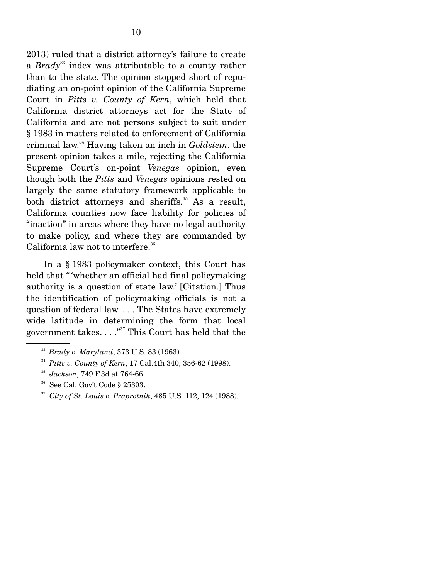2013) ruled that a district attorney's failure to create a *Brady*33 index was attributable to a county rather than to the state. The opinion stopped short of repudiating an on-point opinion of the California Supreme Court in *Pitts v. County of Kern*, which held that California district attorneys act for the State of California and are not persons subject to suit under § 1983 in matters related to enforcement of California criminal law.34 Having taken an inch in *Goldstein*, the present opinion takes a mile, rejecting the California Supreme Court's on-point *Venegas* opinion, even though both the *Pitts* and *Venegas* opinions rested on largely the same statutory framework applicable to both district attorneys and sheriffs. $35$  As a result, California counties now face liability for policies of "inaction" in areas where they have no legal authority to make policy, and where they are commanded by California law not to interfere.<sup>36</sup>

 In a § 1983 policymaker context, this Court has held that "whether an official had final policymaking" authority is a question of state law.' [Citation.] Thus the identification of policymaking officials is not a question of federal law. . . . The States have extremely wide latitude in determining the form that local government takes.  $\ldots$ <sup>37</sup> This Court has held that the

- <sup>35</sup> *Jackson*, 749 F.3d at 764-66.
- See Cal. Gov't Code § 25303.
- <sup>37</sup> *City of St. Louis v. Praprotnik*, 485 U.S. 112, 124 (1988).

<sup>&</sup>lt;sup>33</sup> Brady v. Maryland, 373 U.S. 83 (1963).<br><sup>34</sup> Pitts v. County of Kern, 17 Cal.4th 340, 356-62 (1998).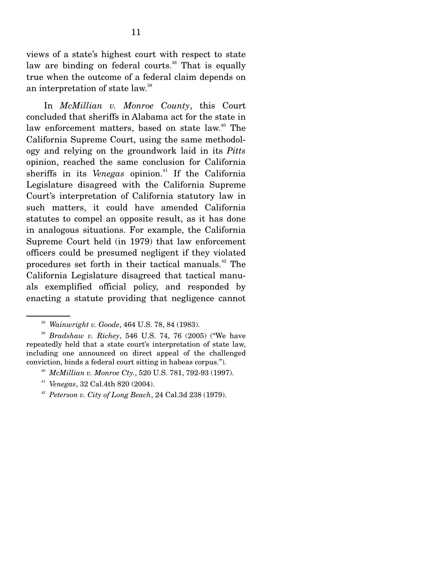views of a state's highest court with respect to state law are binding on federal courts.<sup>38</sup> That is equally true when the outcome of a federal claim depends on an interpretation of state law.39

 In *McMillian v. Monroe County*, this Court concluded that sheriffs in Alabama act for the state in law enforcement matters, based on state law.<sup>40</sup> The California Supreme Court, using the same methodology and relying on the groundwork laid in its *Pitts* opinion, reached the same conclusion for California sheriffs in its *Venegas* opinion.<sup>41</sup> If the California Legislature disagreed with the California Supreme Court's interpretation of California statutory law in such matters, it could have amended California statutes to compel an opposite result, as it has done in analogous situations. For example, the California Supreme Court held (in 1979) that law enforcement officers could be presumed negligent if they violated procedures set forth in their tactical manuals.42 The California Legislature disagreed that tactical manuals exemplified official policy, and responded by enacting a statute providing that negligence cannot

- <sup>40</sup> *McMillian v. Monroe Cty.*, 520 U.S. 781, 792-93 (1997).
- 
- <sup>41</sup> *Venegas*, 32 Cal.4th 820 (2004). 42 *Peterson v. City of Long Beach*, 24 Cal.3d 238 (1979).

<sup>38</sup> *Wainwright v. Goode*, 464 U.S. 78, 84 (1983).

<sup>39</sup> *Bradshaw v. Richey*, 546 U.S. 74, 76 (2005) ("We have repeatedly held that a state court's interpretation of state law, including one announced on direct appeal of the challenged conviction, binds a federal court sitting in habeas corpus.").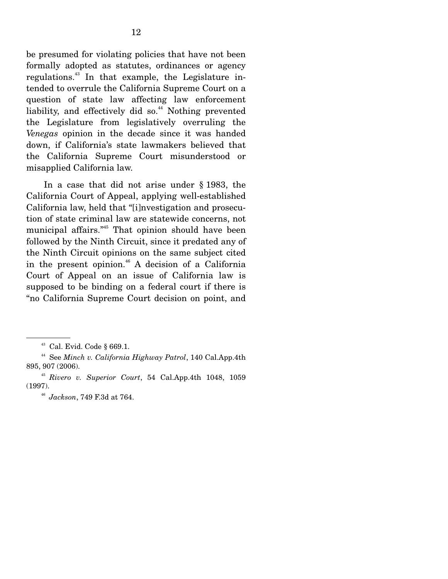be presumed for violating policies that have not been formally adopted as statutes, ordinances or agency regulations.43 In that example, the Legislature intended to overrule the California Supreme Court on a question of state law affecting law enforcement liability, and effectively did so.<sup>44</sup> Nothing prevented the Legislature from legislatively overruling the *Venegas* opinion in the decade since it was handed down, if California's state lawmakers believed that the California Supreme Court misunderstood or misapplied California law.

 In a case that did not arise under § 1983, the California Court of Appeal, applying well-established California law, held that "[i]nvestigation and prosecution of state criminal law are statewide concerns, not municipal affairs."45 That opinion should have been followed by the Ninth Circuit, since it predated any of the Ninth Circuit opinions on the same subject cited in the present opinion. $46$  A decision of a California Court of Appeal on an issue of California law is supposed to be binding on a federal court if there is "no California Supreme Court decision on point, and

<sup>43</sup> Cal. Evid. Code § 669.1.

<sup>44</sup> See *Minch v. California Highway Patrol*, 140 Cal.App.4th 895, 907 (2006).

<sup>45</sup> *Rivero v. Superior Court*, 54 Cal.App.4th 1048, 1059 (1997).

<sup>46</sup> *Jackson*, 749 F.3d at 764.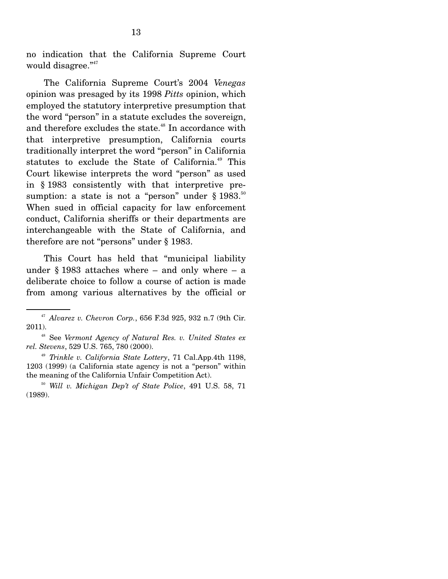no indication that the California Supreme Court would disagree."<sup>47</sup>

 The California Supreme Court's 2004 *Venegas* opinion was presaged by its 1998 *Pitts* opinion, which employed the statutory interpretive presumption that the word "person" in a statute excludes the sovereign, and therefore excludes the state.<sup>48</sup> In accordance with that interpretive presumption, California courts traditionally interpret the word "person" in California statutes to exclude the State of California.<sup>49</sup> This Court likewise interprets the word "person" as used in § 1983 consistently with that interpretive presumption: a state is not a "person" under  $\S 1983$ .<sup>50</sup> When sued in official capacity for law enforcement conduct, California sheriffs or their departments are interchangeable with the State of California, and therefore are not "persons" under § 1983.

 This Court has held that "municipal liability under  $§$  1983 attaches where – and only where – a deliberate choice to follow a course of action is made from among various alternatives by the official or

<sup>47</sup> *Alvarez v. Chevron Corp.*, 656 F.3d 925, 932 n.7 (9th Cir. 2011).

<sup>48</sup> See *Vermont Agency of Natural Res. v. United States ex rel. Stevens*, 529 U.S. 765, 780 (2000).

<sup>49</sup> *Trinkle v. California State Lottery*, 71 Cal.App.4th 1198, 1203 (1999) (a California state agency is not a "person" within the meaning of the California Unfair Competition Act).

<sup>50</sup> *Will v. Michigan Dep't of State Police*, 491 U.S. 58, 71 (1989).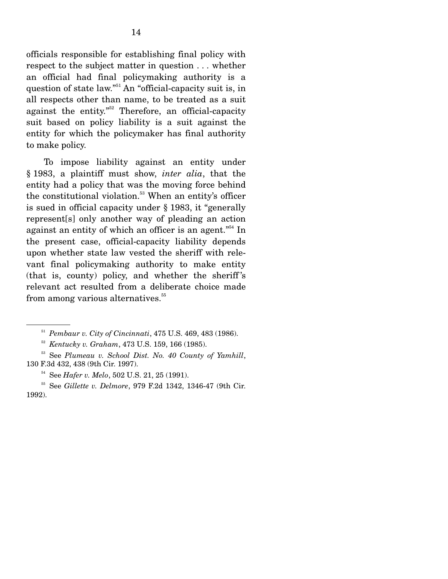officials responsible for establishing final policy with respect to the subject matter in question . . . whether an official had final policymaking authority is a question of state law."<sup>51</sup> An "official-capacity suit is, in all respects other than name, to be treated as a suit against the entity."<sup>52</sup> Therefore, an official-capacity suit based on policy liability is a suit against the entity for which the policymaker has final authority to make policy.

 To impose liability against an entity under § 1983, a plaintiff must show, *inter alia*, that the entity had a policy that was the moving force behind the constitutional violation.<sup>53</sup> When an entity's officer is sued in official capacity under § 1983, it "generally represent[s] only another way of pleading an action against an entity of which an officer is an agent. $i^{54}$  In the present case, official-capacity liability depends upon whether state law vested the sheriff with relevant final policymaking authority to make entity (that is, county) policy, and whether the sheriff 's relevant act resulted from a deliberate choice made from among various alternatives.<sup>55</sup>

<sup>51</sup> *Pembaur v. City of Cincinnati*, 475 U.S. 469, 483 (1986).

<sup>52</sup> *Kentucky v. Graham*, 473 U.S. 159, 166 (1985).

<sup>53</sup> See *Plumeau v. School Dist. No. 40 County of Yamhill*, 130 F.3d 432, 438 (9th Cir. 1997).<br><sup>54</sup> See *Hafer v. Melo*, 502 U.S. 21, 25 (1991).

<sup>55</sup> See *Gillette v. Delmore*, 979 F.2d 1342, 1346-47 (9th Cir. 1992).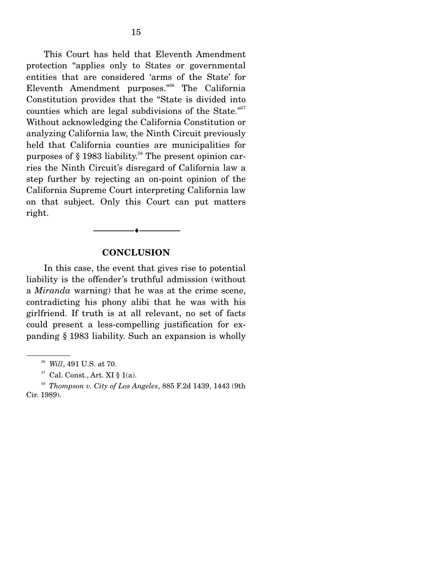This Court has held that Eleventh Amendment protection "applies only to States or governmental entities that are considered 'arms of the State' for Eleventh Amendment purposes."56 The California Constitution provides that the "State is divided into counties which are legal subdivisions of the State."<sup>57</sup> Without acknowledging the California Constitution or analyzing California law, the Ninth Circuit previously held that California counties are municipalities for purposes of  $\S$  1983 liability.<sup>58</sup> The present opinion carries the Ninth Circuit's disregard of California law a step further by rejecting an on-point opinion of the California Supreme Court interpreting California law on that subject. Only this Court can put matters right.

#### **CONCLUSION**

--------------------------------- ---------------------------------

 In this case, the event that gives rise to potential liability is the offender's truthful admission (without a *Miranda* warning) that he was at the crime scene, contradicting his phony alibi that he was with his girlfriend. If truth is at all relevant, no set of facts could present a less-compelling justification for expanding § 1983 liability. Such an expansion is wholly

<sup>56</sup> *Will*, 491 U.S. at 70.

 $57$  Cal. Const., Art. XI § 1(a).

<sup>58</sup> *Thompson v. City of Los Angeles*, 885 F.2d 1439, 1443 (9th Cir. 1989).